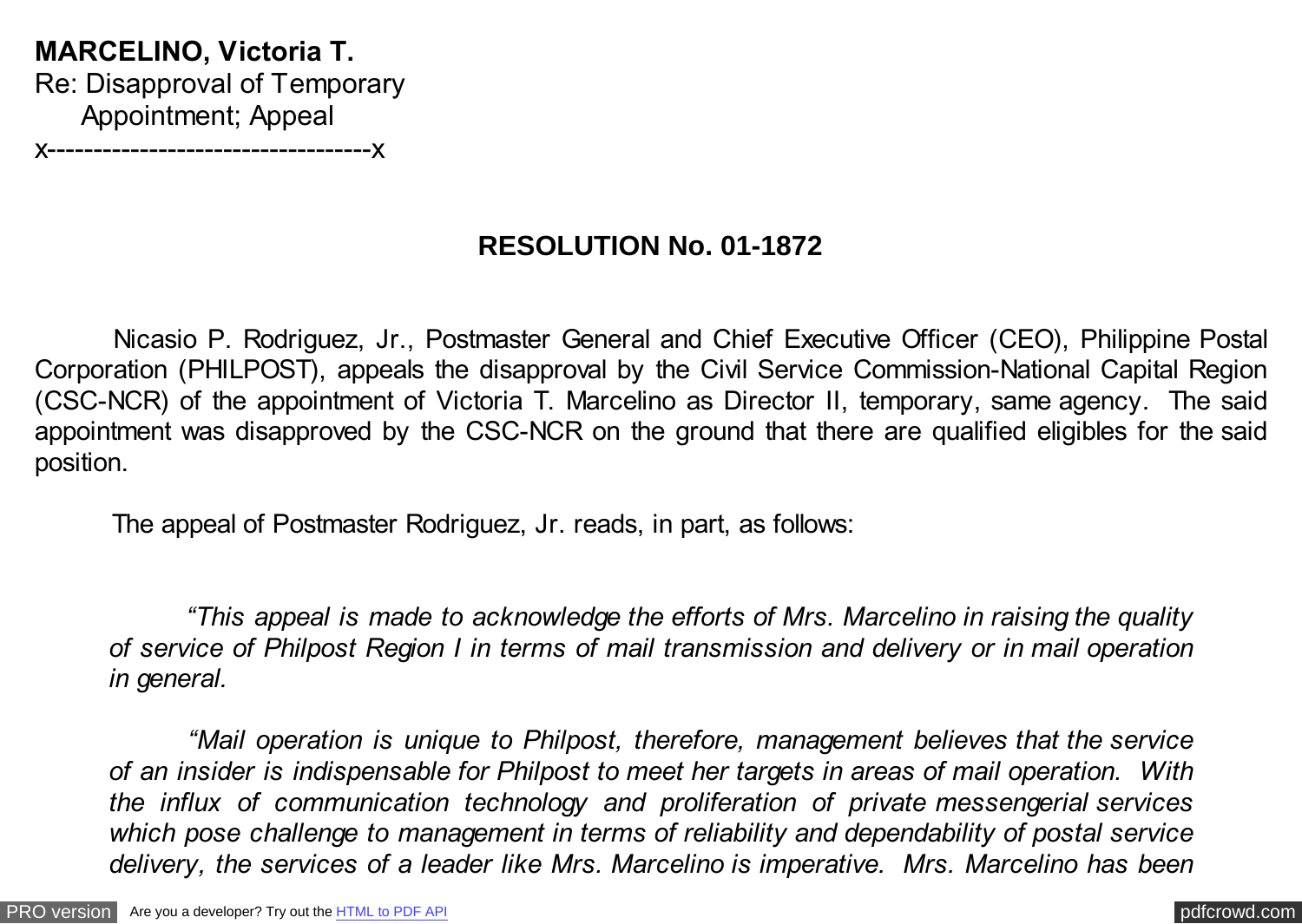**MARCELINO, Victoria T.** Re: Disapproval of Temporary Appointment; Appeal x-----------------------------------x

**RESOLUTION No. 01-1872**

 Nicasio P. Rodriguez, Jr., Postmaster General and Chief Executive Officer (CEO), Philippine Postal Corporation (PHILPOST), appeals the disapproval by the Civil Service Commission-National Capital Region (CSC-NCR) of the appointment of Victoria T. Marcelino as Director II, temporary, same agency. The said appointment was disapproved by the CSC-NCR on the ground that there are qualified eligibles for the said position.

The appeal of Postmaster Rodriguez, Jr. reads, in part, as follows:

 *"This appeal is made to acknowledge the efforts of Mrs. Marcelino in raising the quality of service of Philpost Region I in terms of mail transmission and delivery or in mail operation in general.*

 *"Mail operation is unique to Philpost, therefore, management believes that the service of an insider is indispensable for Philpost to meet her targets in areas of mail operation. With the influx of communication technology and proliferation of private messengerial services which pose challenge to management in terms of reliability and dependability of postal service delivery, the services of a leader like Mrs. Marcelino is imperative. Mrs. Marcelino has been*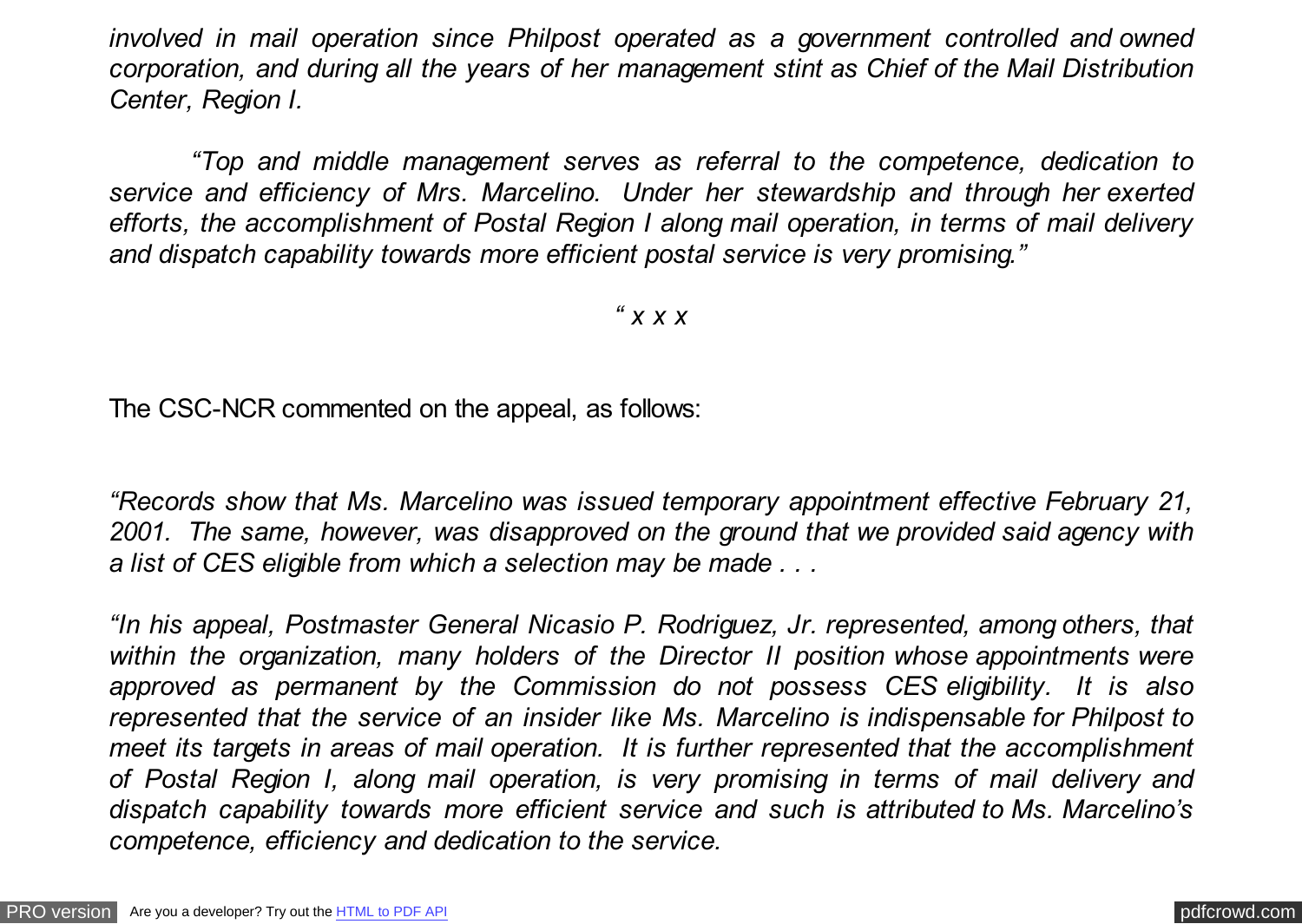*involved in mail operation since Philpost operated as a government controlled and owned corporation, and during all the years of her management stint as Chief of the Mail Distribution Center, Region I.*

 *"Top and middle management serves as referral to the competence, dedication to service and efficiency of Mrs. Marcelino. Under her stewardship and through her exerted efforts, the accomplishment of Postal Region I along mail operation, in terms of mail delivery and dispatch capability towards more efficient postal service is very promising."*

*" x x x*

The CSC-NCR commented on the appeal, as follows:

*"Records show that Ms. Marcelino was issued temporary appointment effective February 21, 2001. The same, however, was disapproved on the ground that we provided said agency with a list of CES eligible from which a selection may be made . . .*

*"In his appeal, Postmaster General Nicasio P. Rodriguez, Jr. represented, among others, that within the organization, many holders of the Director II position whose appointments were approved as permanent by the Commission do not possess CES eligibility. It is also represented that the service of an insider like Ms. Marcelino is indispensable for Philpost to meet its targets in areas of mail operation. It is further represented that the accomplishment of Postal Region I, along mail operation, is very promising in terms of mail delivery and dispatch capability towards more efficient service and such is attributed to Ms. Marcelino's competence, efficiency and dedication to the service.*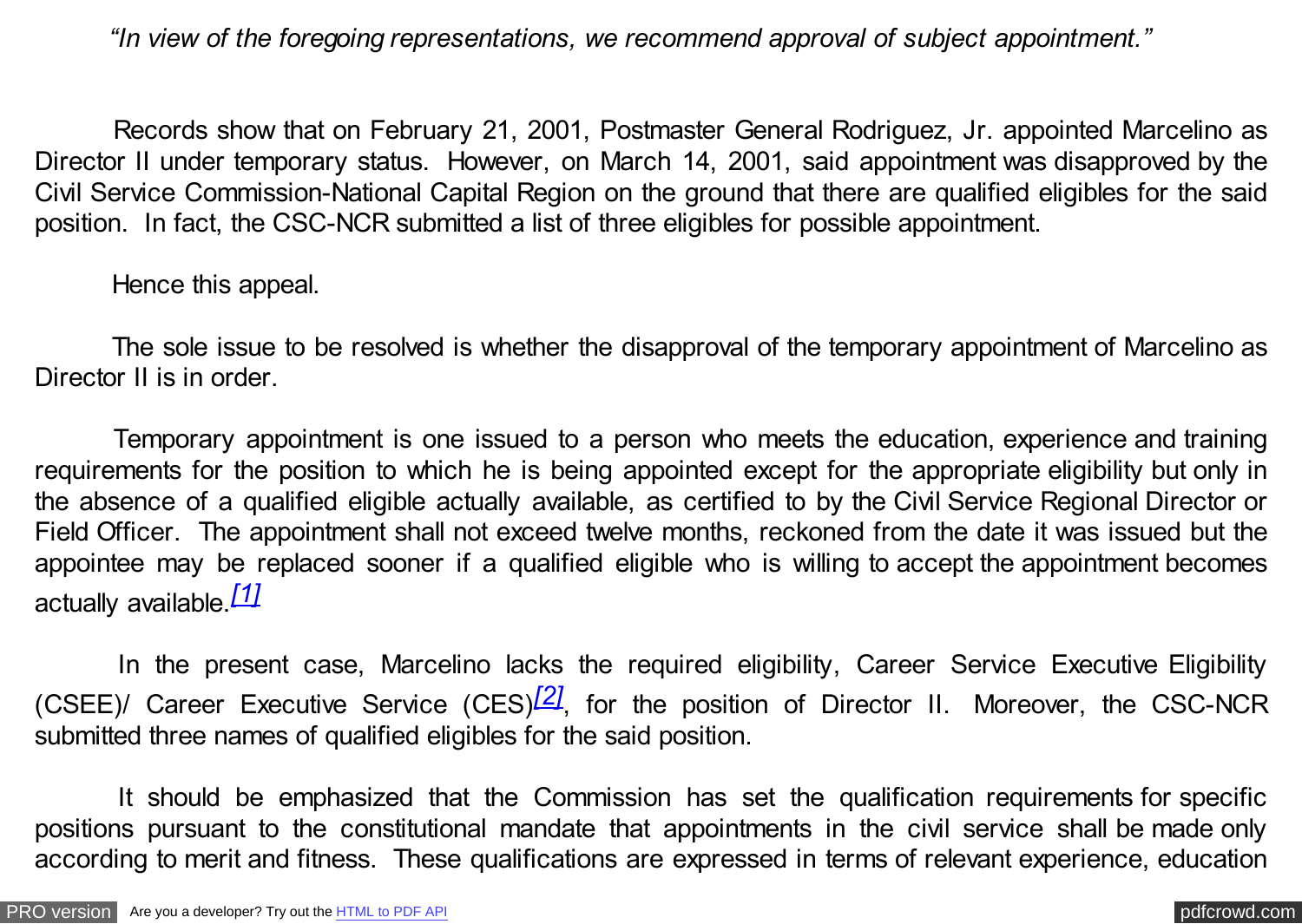<span id="page-2-0"></span>*"In view of the foregoing representations, we recommend approval of subject appointment."*

 Records show that on February 21, 2001, Postmaster General Rodriguez, Jr. appointed Marcelino as Director II under temporary status. However, on March 14, 2001, said appointment was disapproved by the Civil Service Commission-National Capital Region on the ground that there are qualified eligibles for the said position. In fact, the CSC-NCR submitted a list of three eligibles for possible appointment.

Hence this appeal.

 The sole issue to be resolved is whether the disapproval of the temporary appointment of Marcelino as Director II is in order.

 Temporary appointment is one issued to a person who meets the education, experience and training requirements for the position to which he is being appointed except for the appropriate eligibility but only in the absence of a qualified eligible actually available, as certified to by the Civil Service Regional Director or Field Officer. The appointment shall not exceed twelve months, reckoned from the date it was issued but the appointee may be replaced sooner if a qualified eligible who is willing to accept the appointment becomes actually available.*[\[1\]](#page-4-0)*

In the present case, Marcelino lacks the required eligibility, Career Service Executive Eligibility (CSEE)/ Career Executive Service (CES)*[\[2\]](#page-4-0)*, for the position of Director II. Moreover, the CSC-NCR submitted three names of qualified eligibles for the said position.

 It should be emphasized that the Commission has set the qualification requirements for specific positions pursuant to the constitutional mandate that appointments in the civil service shall be made only according to merit and fitness. These qualifications are expressed in terms of relevant experience, education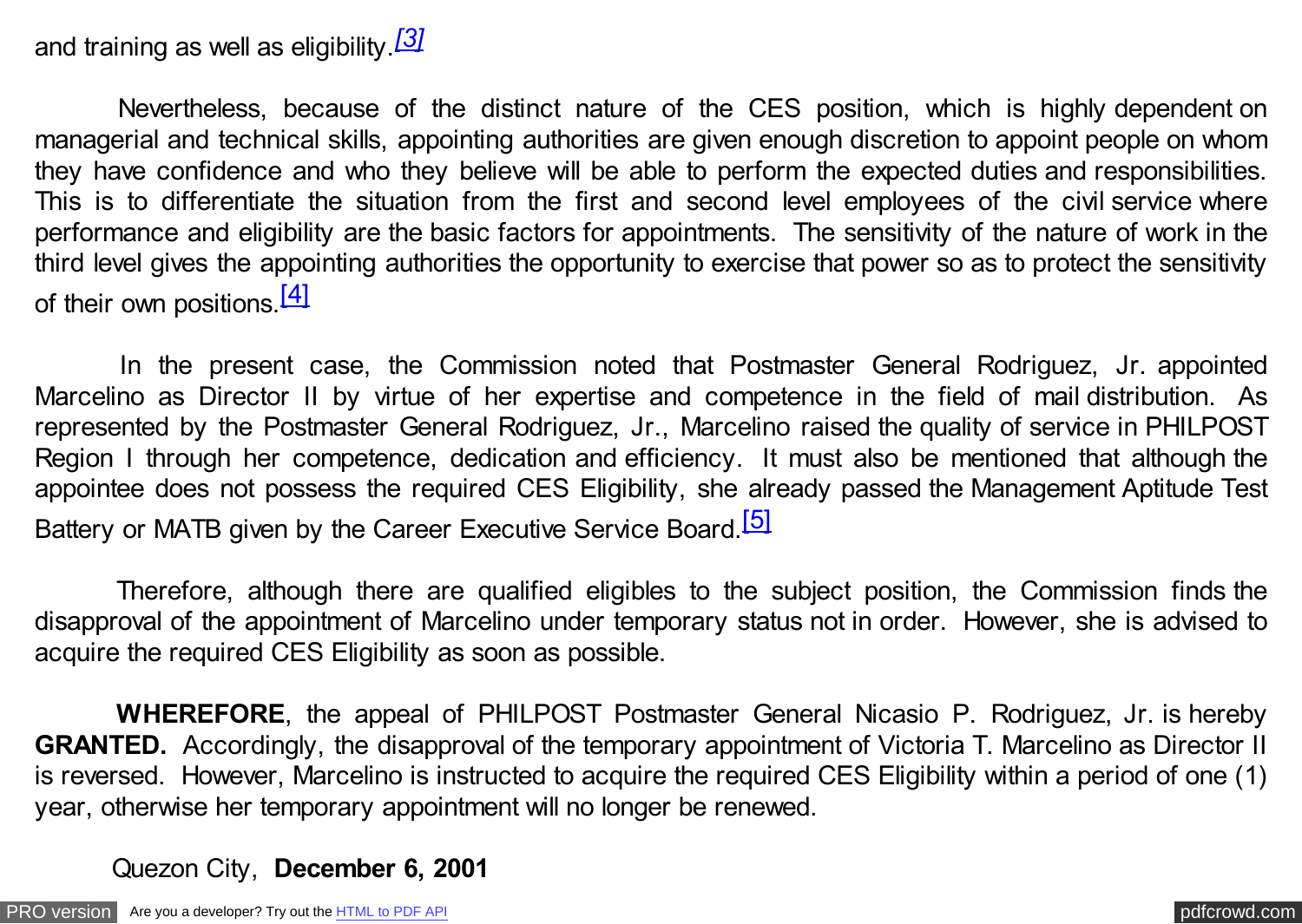## and training as well as eligibility.*[\[3\]](#page-4-0)*

 Nevertheless, because of the distinct nature of the CES position, which is highly dependent on managerial and technical skills, appointing authorities are given enough discretion to appoint people on whom they have confidence and who they believe will be able to perform the expected duties and responsibilities. This is to differentiate the situation from the first and second level employees of the civil service where performance and eligibility are the basic factors for appointments. The sensitivity of the nature of work in the third level gives the appointing authorities the opportunity to exercise that power so as to protect the sensitivity of their own positions.  $[4]$ 

 In the present case, the Commission noted that Postmaster General Rodriguez, Jr. appointed Marcelino as Director II by virtue of her expertise and competence in the field of mail distribution. As represented by the Postmaster General Rodriguez, Jr., Marcelino raised the quality of service in PHILPOST Region I through her competence, dedication and efficiency. It must also be mentioned that although the appointee does not possess the required CES Eligibility, she already passed the Management Aptitude Test Battery or MATB given by the Career Executive Service Board.<sup>[\[5\]](#page-4-0)</sup>

 Therefore, although there are qualified eligibles to the subject position, the Commission finds the disapproval of the appointment of Marcelino under temporary status not in order. However, she is advised to acquire the required CES Eligibility as soon as possible.

 **WHEREFORE**, the appeal of PHILPOST Postmaster General Nicasio P. Rodriguez, Jr. is hereby **GRANTED.** Accordingly, the disapproval of the temporary appointment of Victoria T. Marcelino as Director II is reversed. However, Marcelino is instructed to acquire the required CES Eligibility within a period of one (1) year, otherwise her temporary appointment will no longer be renewed.

## Quezon City, **December 6, 2001**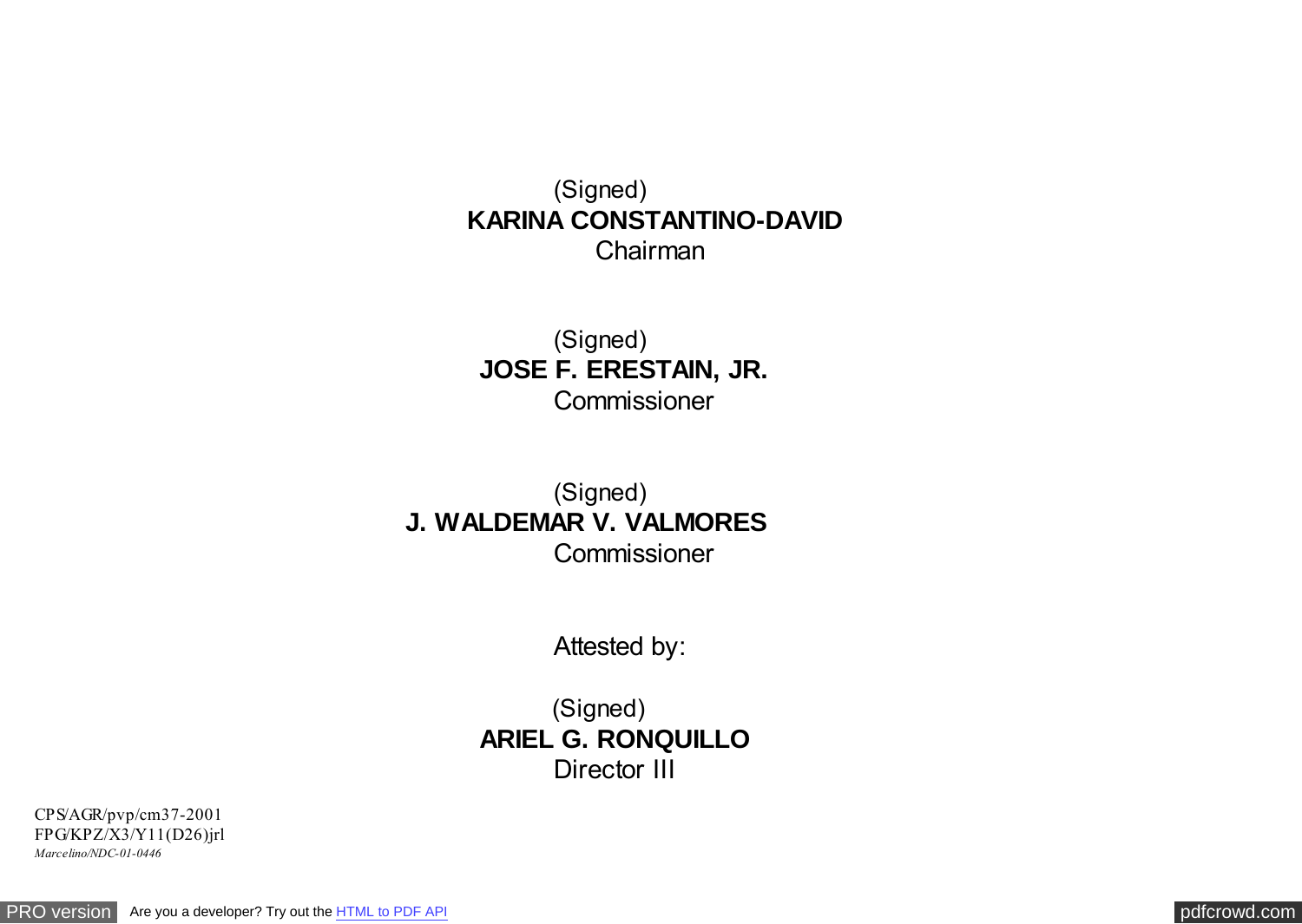<span id="page-4-0"></span> (Signed)  **KARINA CONSTANTINO-DAVID** Chairman

(Signed) **JOSE F. ERESTAIN, JR. Commissioner** 

(Signed) **J. WALDEMAR V. VALMORES Commissioner** 

Attested by:

(Signed) **ARIEL G. RONQUILLO** Director III

CPS/AGR/pvp/cm37-2001 FPG/KPZ/X3/Y11(D26)jrl *Marcelino/NDC-01-0446*